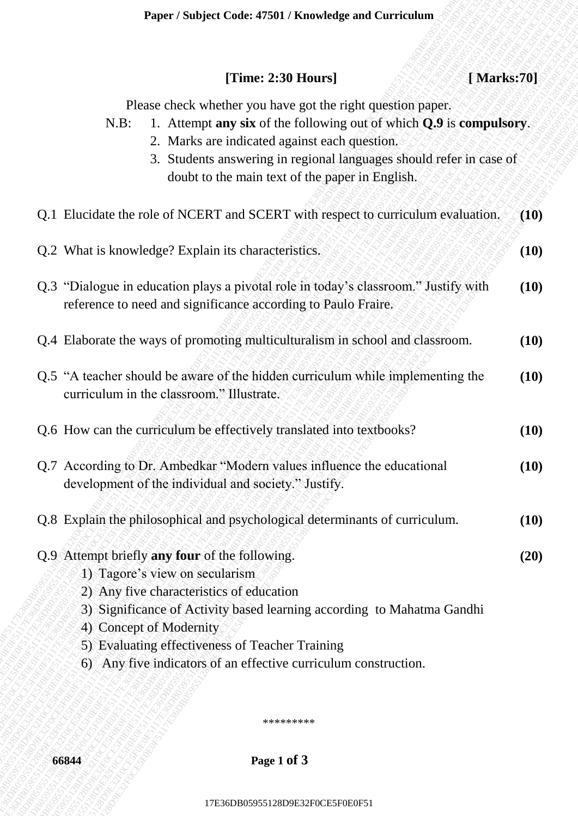## **[Time: 2:30 Hours] [ Marks:70]**

- N.B: 1. Attempt **any six** of the following out of which **Q.9** is **compulsory**.
	- 2. Marks are indicated against each question.
	- 3. Students answering in regional languages should refer in case of doubt to the main text of the paper in English.

| [Marks:70]<br>[Time: $2:30$ Hours]<br>Please check whether you have got the right question paper.<br>1. Attempt any six of the following out of which Q.9 is compulsory.<br>$N.B$ :<br>2. Marks are indicated against each question.<br>3. Students answering in regional languages should refer in case of<br>doubt to the main text of the paper in English.<br>reference to need and significance according to Paulo Fraire.<br>curriculum in the classroom." Illustrate.<br>development of the individual and society." Justify.<br>1) Tagore's view on secularism<br>2) Any five characteristics of education<br>3) Significance of Activity based learning according to Mahatma Gandhi<br>4) Concept of Modernity<br>5) Evaluating effectiveness of Teacher Training<br>6) Any five indicators of an effective curriculum construction.<br>********* | Paper / Subject Code: 47501 / Knowledge and Curriculum |      |
|------------------------------------------------------------------------------------------------------------------------------------------------------------------------------------------------------------------------------------------------------------------------------------------------------------------------------------------------------------------------------------------------------------------------------------------------------------------------------------------------------------------------------------------------------------------------------------------------------------------------------------------------------------------------------------------------------------------------------------------------------------------------------------------------------------------------------------------------------------|--------------------------------------------------------|------|
| Q.1 Elucidate the role of NCERT and SCERT with respect to curriculum evaluation.<br>Q.2 What is knowledge? Explain its characteristics.<br>Q.3 "Dialogue in education plays a pivotal role in today's classroom." Justify with<br>Q.4 Elaborate the ways of promoting multiculturalism in school and classroom.<br>Q.5 "A teacher should be aware of the hidden curriculum while implementing the<br>Q.6 How can the curriculum be effectively translated into textbooks?<br>Q.7 According to Dr. Ambedkar "Modern values influence the educational<br>Q.8 Explain the philosophical and psychological determinants of curriculum.<br>Q.9 Attempt briefly any four of the following.                                                                                                                                                                       |                                                        |      |
|                                                                                                                                                                                                                                                                                                                                                                                                                                                                                                                                                                                                                                                                                                                                                                                                                                                            |                                                        |      |
|                                                                                                                                                                                                                                                                                                                                                                                                                                                                                                                                                                                                                                                                                                                                                                                                                                                            |                                                        | (10) |
|                                                                                                                                                                                                                                                                                                                                                                                                                                                                                                                                                                                                                                                                                                                                                                                                                                                            |                                                        | (10) |
|                                                                                                                                                                                                                                                                                                                                                                                                                                                                                                                                                                                                                                                                                                                                                                                                                                                            |                                                        | (10) |
|                                                                                                                                                                                                                                                                                                                                                                                                                                                                                                                                                                                                                                                                                                                                                                                                                                                            |                                                        | (10) |
|                                                                                                                                                                                                                                                                                                                                                                                                                                                                                                                                                                                                                                                                                                                                                                                                                                                            |                                                        | (10) |
|                                                                                                                                                                                                                                                                                                                                                                                                                                                                                                                                                                                                                                                                                                                                                                                                                                                            |                                                        | (10) |
|                                                                                                                                                                                                                                                                                                                                                                                                                                                                                                                                                                                                                                                                                                                                                                                                                                                            |                                                        | (10) |
|                                                                                                                                                                                                                                                                                                                                                                                                                                                                                                                                                                                                                                                                                                                                                                                                                                                            |                                                        | (10) |
|                                                                                                                                                                                                                                                                                                                                                                                                                                                                                                                                                                                                                                                                                                                                                                                                                                                            |                                                        | (20) |
|                                                                                                                                                                                                                                                                                                                                                                                                                                                                                                                                                                                                                                                                                                                                                                                                                                                            |                                                        |      |
|                                                                                                                                                                                                                                                                                                                                                                                                                                                                                                                                                                                                                                                                                                                                                                                                                                                            |                                                        |      |
|                                                                                                                                                                                                                                                                                                                                                                                                                                                                                                                                                                                                                                                                                                                                                                                                                                                            | Page 1 of 3<br>66844                                   |      |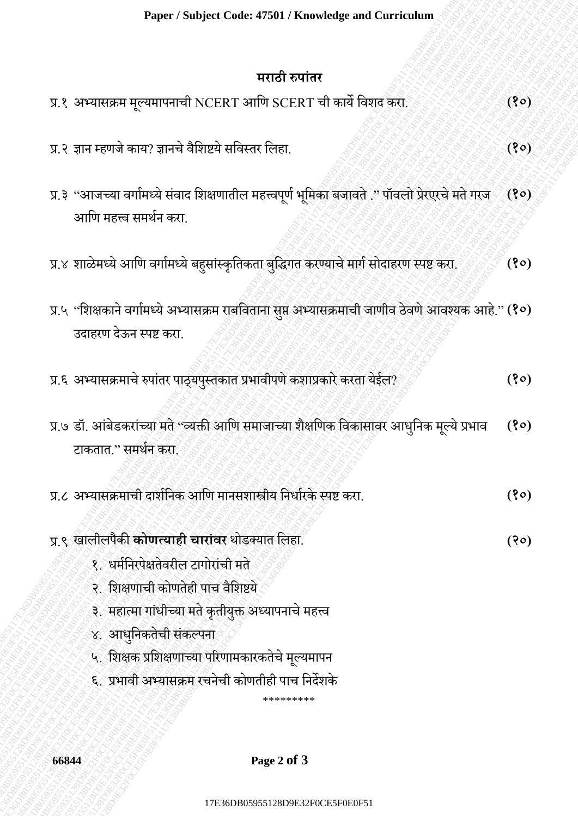## **मराठी रुपाांतर**

| Paper / Subject Code: 47501 / Knowledge and Curriculum                                                                                                                                                                                                                                                                                          |      |
|-------------------------------------------------------------------------------------------------------------------------------------------------------------------------------------------------------------------------------------------------------------------------------------------------------------------------------------------------|------|
| मराठी रुपांतर                                                                                                                                                                                                                                                                                                                                   |      |
| प्र.१ अभ्यासक्रम मूल्यमापनाची NCERT आणि SCERT ची कार्ये विशद करा.                                                                                                                                                                                                                                                                               | (30) |
| प्र.२ ज्ञान म्हणजे काय? ज्ञानचे वैशिष्टये सविस्तर लिहा.                                                                                                                                                                                                                                                                                         | (8)  |
| प्र.३ "आजच्या वर्गामध्ये संवाद शिक्षणातील महत्त्वपूर्ण भूमिका बजावते ." पॉवलो प्रेरएरचे मते गरज<br>आणि महत्त्व समर्थन करा.                                                                                                                                                                                                                      | (30) |
| प्र.४ शाळेमध्ये आणि वर्गामध्ये बहुसांस्कृतिकता बुद्धिगत करण्याचे मार्ग सोदाहरण स्पष्ट करा.                                                                                                                                                                                                                                                      | (30) |
| प्र.५ "शिक्षकाने वर्गामध्ये अभ्यासक्रम राबविताना सुप्त अभ्यासक्रमाची जाणीव ठेवणे आवश्यक आहे." (१०)<br>उदाहरण देऊन स्पष्ट करा.                                                                                                                                                                                                                   |      |
| प्र.६ अभ्यासक्रमाचे रुपांतर पाठ्यपुस्तकात प्रभावीपणे कशाप्रकारे करता येईल?                                                                                                                                                                                                                                                                      | (30) |
| प्र.७ डॉ. आंबेडकरांच्या मते ''व्यक्ती आणि समाजाच्या शैक्षणिक विकासावर आधुनिक मूल्ये प्रभाव<br>टाकतात.'' समर्थन करा.                                                                                                                                                                                                                             | (30) |
| प्र.८ अभ्यासक्रमाची दार्शनिक आणि मानसशास्त्रीय निर्धारके स्पष्ट करा.                                                                                                                                                                                                                                                                            | (80) |
| प्र ९ खालीलपैकी <b>कोणत्याही चारांवर</b> थोडक्यात लिहा.<br>१. धर्मनिरपेक्षतेवरील टागोरांची मते<br>२. शिक्षणाची कोणतेही पाच वैशिष्टये<br>३. महात्मा गांधीच्या मते कृतीयुक्त अध्यापनाचे महत्त्व<br>४. आधुनिकतेची संकल्पना<br>५. शिक्षक प्रशिक्षणाच्या परिणामकारकतेचे मूल्यमापन<br>६. प्रभावी अभ्यासक्रम रचनेची कोणतीही पाच निर्देशके<br>********* | (30) |
| Page 2 of 3<br>66844                                                                                                                                                                                                                                                                                                                            |      |
| 17E36DB05955128D9E32F0CE5F0E0F51                                                                                                                                                                                                                                                                                                                |      |